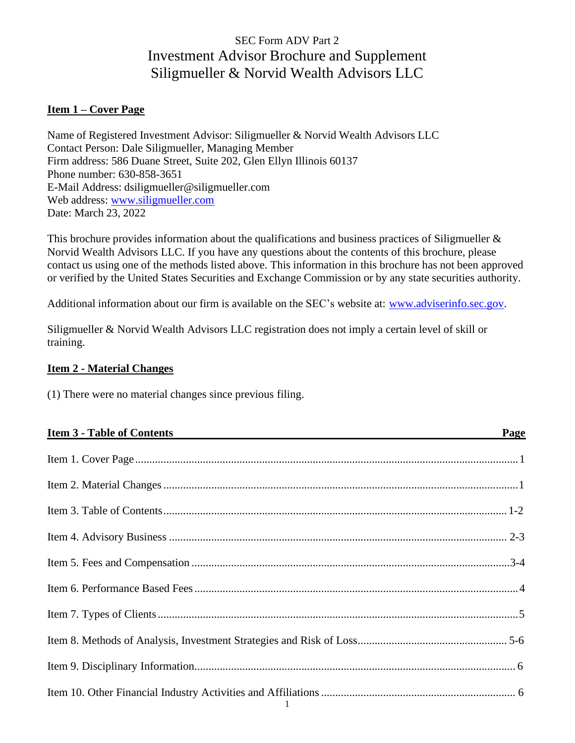# SEC Form ADV Part 2 Investment Advisor Brochure and Supplement Siligmueller & Norvid Wealth Advisors LLC

# <span id="page-0-0"></span>**Item 1 – Cover Page**

Name of Registered Investment Advisor: Siligmueller & Norvid Wealth Advisors LLC Contact Person: Dale Siligmueller, Managing Member Firm address: 586 Duane Street, Suite 202, Glen Ellyn Illinois 60137 Phone number: 630-858-3651 E-Mail Address: [dsiligmueller@siligmueller.com](mailto:dsiligmueller@siligmueller.com) Web address: [www.siligmueller.com](http://www.siligmueller.com/) Date: March 23, 2022

This brochure provides information about the qualifications and business practices of Siligmueller & Norvid Wealth Advisors LLC. If you have any questions about the contents of this brochure, please contact us using one of the methods listed above. This information in this brochure has not been approved or verified by the United States Securities and Exchange Commission or by any state securities authority.

Additional information about our firm is available on the SEC's website at: [www.adviserinfo.sec.gov.](http://www.adviserinfo.sec.gov/)

Siligmueller & Norvid Wealth Advisors LLC registration does not imply a certain level of skill or training.

## <span id="page-0-1"></span>**Item 2 - Material Changes**

(1) There were no material changes since previous filing.

| <u>Item 3 - Table of Contents</u>                                                                               | Page |
|-----------------------------------------------------------------------------------------------------------------|------|
|                                                                                                                 |      |
|                                                                                                                 |      |
|                                                                                                                 |      |
|                                                                                                                 |      |
|                                                                                                                 |      |
|                                                                                                                 |      |
|                                                                                                                 |      |
|                                                                                                                 |      |
|                                                                                                                 |      |
| the contract of the contract of the contract of the contract of the contract of the contract of the contract of |      |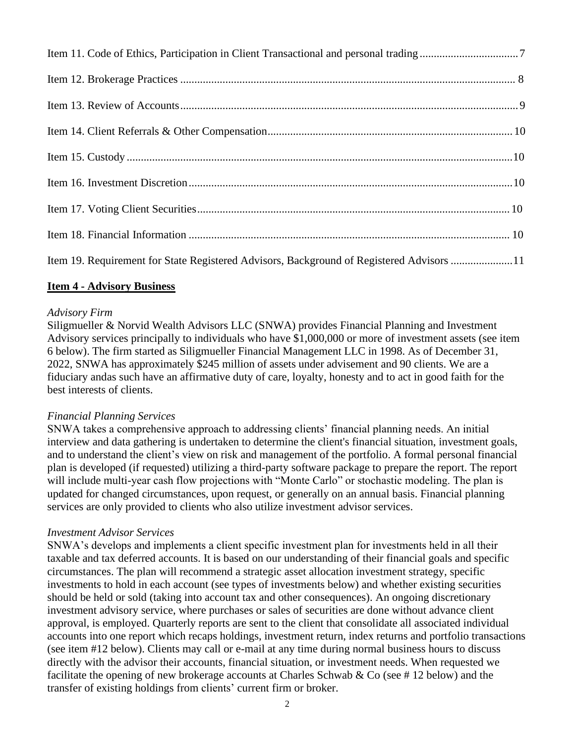| Item 19. Requirement for State Registered Advisors, Background of Registered Advisors 11 |  |
|------------------------------------------------------------------------------------------|--|

## <span id="page-1-0"></span>**Item 4 - Advisory Business**

#### *Advisory Firm*

Siligmueller & Norvid Wealth Advisors LLC (SNWA) provides Financial Planning and Investment Advisory services principally to individuals who have \$1,000,000 or more of investment assets (see item 6 below). The firm started as Siligmueller Financial Management LLC in 1998. As of December 31, 2022, SNWA has approximately \$245 million of assets under advisement and 90 clients. We are a fiduciary andas such have an affirmative duty of care, loyalty, honesty and to act in good faith for the best interests of clients.

#### *Financial Planning Services*

SNWA takes a comprehensive approach to addressing clients' financial planning needs. An initial interview and data gathering is undertaken to determine the client's financial situation, investment goals, and to understand the client's view on risk and management of the portfolio. A formal personal financial plan is developed (if requested) utilizing a third-party software package to prepare the report. The report will include multi-year cash flow projections with "Monte Carlo" or stochastic modeling. The plan is updated for changed circumstances, upon request, or generally on an annual basis. Financial planning services are only provided to clients who also utilize investment advisor services.

#### *Investment Advisor Services*

SNWA's develops and implements a client specific investment plan for investments held in all their taxable and tax deferred accounts. It is based on our understanding of their financial goals and specific circumstances. The plan will recommend a strategic asset allocation investment strategy, specific investments to hold in each account (see types of investments below) and whether existing securities should be held or sold (taking into account tax and other consequences). An ongoing discretionary investment advisory service, where purchases or sales of securities are done without advance client approval, is employed. Quarterly reports are sent to the client that consolidate all associated individual accounts into one report which recaps holdings, investment return, index returns and portfolio transactions (see item #12 below). Clients may call or e-mail at any time during normal business hours to discuss directly with the advisor their accounts, financial situation, or investment needs. When requested we facilitate the opening of new brokerage accounts at Charles Schwab & Co (see # 12 below) and the transfer of existing holdings from clients' current firm or broker.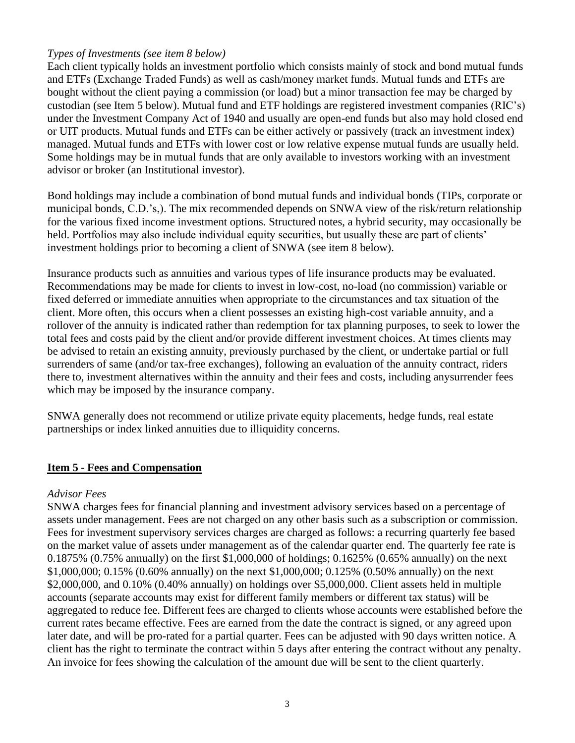#### *Types of Investments (see item 8 below)*

Each client typically holds an investment portfolio which consists mainly of stock and bond mutual funds and ETFs (Exchange Traded Funds) as well as cash/money market funds. Mutual funds and ETFs are bought without the client paying a commission (or load) but a minor transaction fee may be charged by custodian (see Item 5 below). Mutual fund and ETF holdings are registered investment companies (RIC's) under the Investment Company Act of 1940 and usually are open-end funds but also may hold closed end or UIT products. Mutual funds and ETFs can be either actively or passively (track an investment index) managed. Mutual funds and ETFs with lower cost or low relative expense mutual funds are usually held. Some holdings may be in mutual funds that are only available to investors working with an investment advisor or broker (an Institutional investor).

Bond holdings may include a combination of bond mutual funds and individual bonds (TIPs, corporate or municipal bonds, C.D.'s,). The mix recommended depends on SNWA view of the risk/return relationship for the various fixed income investment options. Structured notes, a hybrid security, may occasionally be held. Portfolios may also include individual equity securities, but usually these are part of clients' investment holdings prior to becoming a client of SNWA (see item 8 below).

Insurance products such as annuities and various types of life insurance products may be evaluated. Recommendations may be made for clients to invest in low-cost, no-load (no commission) variable or fixed deferred or immediate annuities when appropriate to the circumstances and tax situation of the client. More often, this occurs when a client possesses an existing high-cost variable annuity, and a rollover of the annuity is indicated rather than redemption for tax planning purposes, to seek to lower the total fees and costs paid by the client and/or provide different investment choices. At times clients may be advised to retain an existing annuity, previously purchased by the client, or undertake partial or full surrenders of same (and/or tax-free exchanges), following an evaluation of the annuity contract, riders there to, investment alternatives within the annuity and their fees and costs, including anysurrender fees which may be imposed by the insurance company.

SNWA generally does not recommend or utilize private equity placements, hedge funds, real estate partnerships or index linked annuities due to illiquidity concerns.

## <span id="page-2-0"></span>**Item 5 - Fees and Compensation**

#### *Advisor Fees*

SNWA charges fees for financial planning and investment advisory services based on a percentage of assets under management. Fees are not charged on any other basis such as a subscription or commission. Fees for investment supervisory services charges are charged as follows: a recurring quarterly fee based on the market value of assets under management as of the calendar quarter end. The quarterly fee rate is 0.1875% (0.75% annually) on the first \$1,000,000 of holdings; 0.1625% (0.65% annually) on the next \$1,000,000; 0.15% (0.60% annually) on the next \$1,000,000; 0.125% (0.50% annually) on the next \$2,000,000, and 0.10% (0.40% annually) on holdings over \$5,000,000. Client assets held in multiple accounts (separate accounts may exist for different family members or different tax status) will be aggregated to reduce fee. Different fees are charged to clients whose accounts were established before the current rates became effective. Fees are earned from the date the contract is signed, or any agreed upon later date, and will be pro-rated for a partial quarter. Fees can be adjusted with 90 days written notice. A client has the right to terminate the contract within 5 days after entering the contract without any penalty. An invoice for fees showing the calculation of the amount due will be sent to the client quarterly.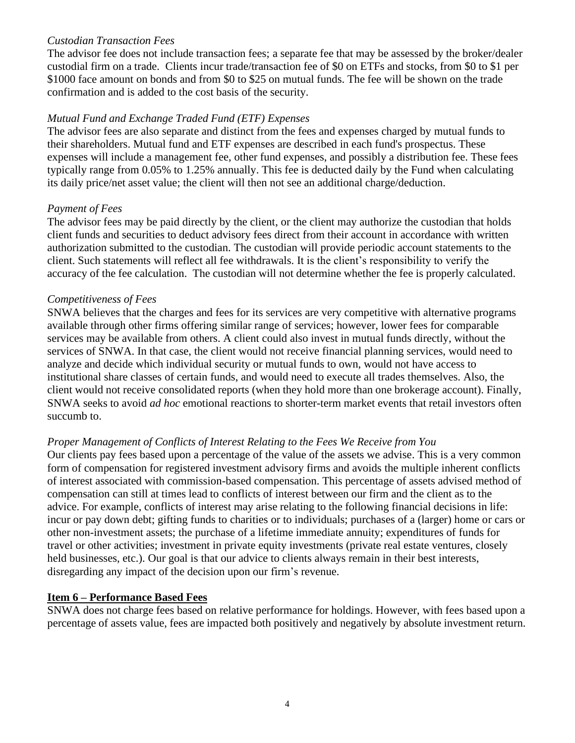#### *Custodian Transaction Fees*

The advisor fee does not include transaction fees; a separate fee that may be assessed by the broker/dealer custodial firm on a trade. Clients incur trade/transaction fee of \$0 on ETFs and stocks, from \$0 to \$1 per \$1000 face amount on bonds and from \$0 to \$25 on mutual funds. The fee will be shown on the trade confirmation and is added to the cost basis of the security.

#### *Mutual Fund and Exchange Traded Fund (ETF) Expenses*

The advisor fees are also separate and distinct from the fees and expenses charged by mutual funds to their shareholders. Mutual fund and ETF expenses are described in each fund's prospectus. These expenses will include a management fee, other fund expenses, and possibly a distribution fee. These fees typically range from 0.05% to 1.25% annually. This fee is deducted daily by the Fund when calculating its daily price/net asset value; the client will then not see an additional charge/deduction.

#### *Payment of Fees*

The advisor fees may be paid directly by the client, or the client may authorize the custodian that holds client funds and securities to deduct advisory fees direct from their account in accordance with written authorization submitted to the custodian. The custodian will provide periodic account statements to the client. Such statements will reflect all fee withdrawals. It is the client's responsibility to verify the accuracy of the fee calculation. The custodian will not determine whether the fee is properly calculated.

#### *Competitiveness of Fees*

SNWA believes that the charges and fees for its services are very competitive with alternative programs available through other firms offering similar range of services; however, lower fees for comparable services may be available from others. A client could also invest in mutual funds directly, without the services of SNWA. In that case, the client would not receive financial planning services, would need to analyze and decide which individual security or mutual funds to own, would not have access to institutional share classes of certain funds, and would need to execute all trades themselves. Also, the client would not receive consolidated reports (when they hold more than one brokerage account). Finally, SNWA seeks to avoid *ad hoc* emotional reactions to shorter-term market events that retail investors often succumb to.

## *Proper Management of Conflicts of Interest Relating to the Fees We Receive from You*

Our clients pay fees based upon a percentage of the value of the assets we advise. This is a very common form of compensation for registered investment advisory firms and avoids the multiple inherent conflicts of interest associated with commission-based compensation. This percentage of assets advised method of compensation can still at times lead to conflicts of interest between our firm and the client as to the advice. For example, conflicts of interest may arise relating to the following financial decisions in life: incur or pay down debt; gifting funds to charities or to individuals; purchases of a (larger) home or cars or other non-investment assets; the purchase of a lifetime immediate annuity; expenditures of funds for travel or other activities; investment in private equity investments (private real estate ventures, closely held businesses, etc.). Our goal is that our advice to clients always remain in their best interests, disregarding any impact of the decision upon our firm's revenue.

#### <span id="page-3-0"></span>**Item 6 – Performance Based Fees**

SNWA does not charge fees based on relative performance for holdings. However, with fees based upon a percentage of assets value, fees are impacted both positively and negatively by absolute investment return.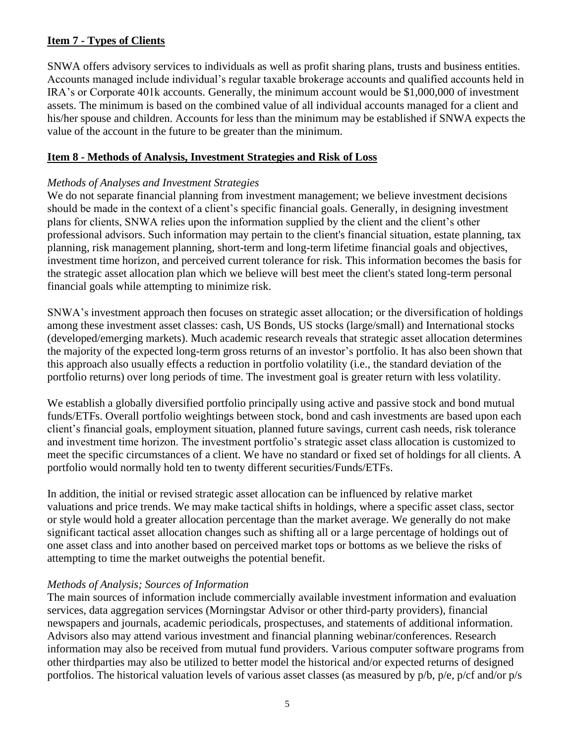# <span id="page-4-0"></span>**Item 7 - Types of Clients**

SNWA offers advisory services to individuals as well as profit sharing plans, trusts and business entities. Accounts managed include individual's regular taxable brokerage accounts and qualified accounts held in IRA's or Corporate 401k accounts. Generally, the minimum account would be \$1,000,000 of investment assets. The minimum is based on the combined value of all individual accounts managed for a client and his/her spouse and children. Accounts for less than the minimum may be established if SNWA expects the value of the account in the future to be greater than the minimum.

# <span id="page-4-1"></span>**Item 8 - Methods of Analysis, Investment Strategies and Risk of Loss**

# *Methods of Analyses and Investment Strategies*

We do not separate financial planning from investment management; we believe investment decisions should be made in the context of a client's specific financial goals. Generally, in designing investment plans for clients, SNWA relies upon the information supplied by the client and the client's other professional advisors. Such information may pertain to the client's financial situation, estate planning, tax planning, risk management planning, short-term and long-term lifetime financial goals and objectives, investment time horizon, and perceived current tolerance for risk. This information becomes the basis for the strategic asset allocation plan which we believe will best meet the client's stated long-term personal financial goals while attempting to minimize risk.

SNWA's investment approach then focuses on strategic asset allocation; or the diversification of holdings among these investment asset classes: cash, US Bonds, US stocks (large/small) and International stocks (developed/emerging markets). Much academic research reveals that strategic asset allocation determines the majority of the expected long-term gross returns of an investor's portfolio. It has also been shown that this approach also usually effects a reduction in portfolio volatility (i.e., the standard deviation of the portfolio returns) over long periods of time. The investment goal is greater return with less volatility.

We establish a globally diversified portfolio principally using active and passive stock and bond mutual funds/ETFs. Overall portfolio weightings between stock, bond and cash investments are based upon each client's financial goals, employment situation, planned future savings, current cash needs, risk tolerance and investment time horizon. The investment portfolio's strategic asset class allocation is customized to meet the specific circumstances of a client. We have no standard or fixed set of holdings for all clients. A portfolio would normally hold ten to twenty different securities/Funds/ETFs.

In addition, the initial or revised strategic asset allocation can be influenced by relative market valuations and price trends. We may make tactical shifts in holdings, where a specific asset class, sector or style would hold a greater allocation percentage than the market average. We generally do not make significant tactical asset allocation changes such as shifting all or a large percentage of holdings out of one asset class and into another based on perceived market tops or bottoms as we believe the risks of attempting to time the market outweighs the potential benefit.

## *Methods of Analysis; Sources of Information*

The main sources of information include commercially available investment information and evaluation services, data aggregation services (Morningstar Advisor or other third-party providers), financial newspapers and journals, academic periodicals, prospectuses, and statements of additional information. Advisors also may attend various investment and financial planning webinar/conferences. Research information may also be received from mutual fund providers. Various computer software programs from other thirdparties may also be utilized to better model the historical and/or expected returns of designed portfolios. The historical valuation levels of various asset classes (as measured by p/b, p/e, p/cf and/or p/s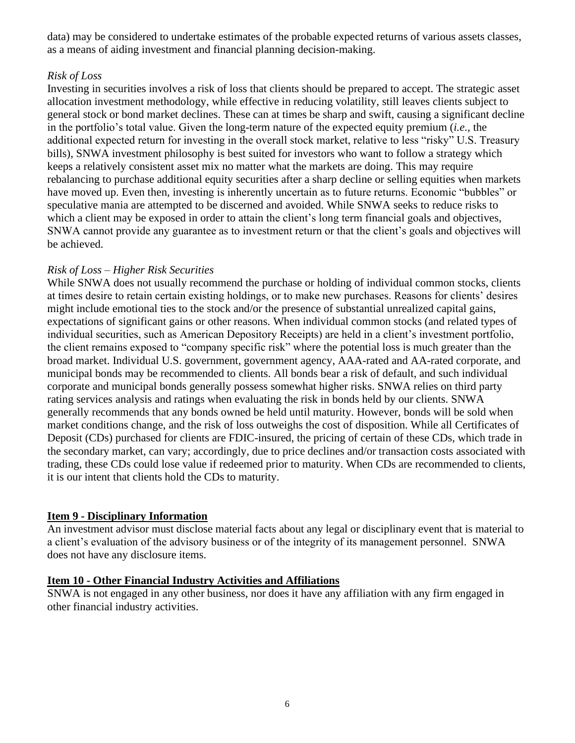data) may be considered to undertake estimates of the probable expected returns of various assets classes, as a means of aiding investment and financial planning decision-making.

## *Risk of Loss*

Investing in securities involves a risk of loss that clients should be prepared to accept. The strategic asset allocation investment methodology, while effective in reducing volatility, still leaves clients subject to general stock or bond market declines. These can at times be sharp and swift, causing a significant decline in the portfolio's total value. Given the long-term nature of the expected equity premium (*i.e.,* the additional expected return for investing in the overall stock market, relative to less "risky" U.S. Treasury bills), SNWA investment philosophy is best suited for investors who want to follow a strategy which keeps a relatively consistent asset mix no matter what the markets are doing. This may require rebalancing to purchase additional equity securities after a sharp decline or selling equities when markets have moved up. Even then, investing is inherently uncertain as to future returns. Economic "bubbles" or speculative mania are attempted to be discerned and avoided. While SNWA seeks to reduce risks to which a client may be exposed in order to attain the client's long term financial goals and objectives, SNWA cannot provide any guarantee as to investment return or that the client's goals and objectives will be achieved.

## *Risk of Loss – Higher Risk Securities*

While SNWA does not usually recommend the purchase or holding of individual common stocks, clients at times desire to retain certain existing holdings, or to make new purchases. Reasons for clients' desires might include emotional ties to the stock and/or the presence of substantial unrealized capital gains, expectations of significant gains or other reasons. When individual common stocks (and related types of individual securities, such as American Depository Receipts) are held in a client's investment portfolio, the client remains exposed to "company specific risk" where the potential loss is much greater than the broad market. Individual U.S. government, government agency, AAA-rated and AA-rated corporate, and municipal bonds may be recommended to clients. All bonds bear a risk of default, and such individual corporate and municipal bonds generally possess somewhat higher risks. SNWA relies on third party rating services analysis and ratings when evaluating the risk in bonds held by our clients. SNWA generally recommends that any bonds owned be held until maturity. However, bonds will be sold when market conditions change, and the risk of loss outweighs the cost of disposition. While all Certificates of Deposit (CDs) purchased for clients are FDIC-insured, the pricing of certain of these CDs, which trade in the secondary market, can vary; accordingly, due to price declines and/or transaction costs associated with trading, these CDs could lose value if redeemed prior to maturity. When CDs are recommended to clients, it is our intent that clients hold the CDs to maturity.

## <span id="page-5-0"></span>**Item 9 - Disciplinary Information**

An investment advisor must disclose material facts about any legal or disciplinary event that is material to a client's evaluation of the advisory business or of the integrity of its management personnel. SNWA does not have any disclosure items.

#### <span id="page-5-1"></span>**Item 10 - Other Financial Industry Activities and Affiliations**

SNWA is not engaged in any other business, nor does it have any affiliation with any firm engaged in other financial industry activities.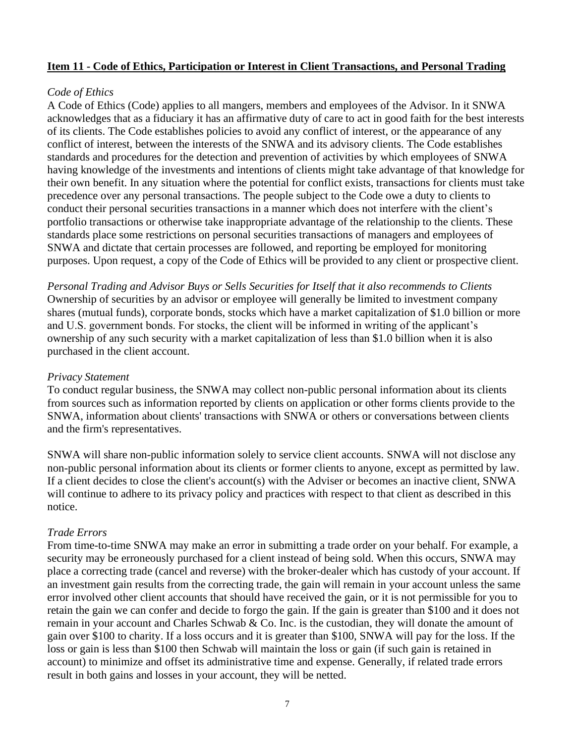#### **Item 11 - Code of Ethics, Participation or Interest in Client Transactions, and Personal Trading**

#### *Code of Ethics*

A Code of Ethics (Code) applies to all mangers, members and employees of the Advisor. In it SNWA acknowledges that as a fiduciary it has an affirmative duty of care to act in good faith for the best interests of its clients. The Code establishes policies to avoid any conflict of interest, or the appearance of any conflict of interest, between the interests of the SNWA and its advisory clients. The Code establishes standards and procedures for the detection and prevention of activities by which employees of SNWA having knowledge of the investments and intentions of clients might take advantage of that knowledge for their own benefit. In any situation where the potential for conflict exists, transactions for clients must take precedence over any personal transactions. The people subject to the Code owe a duty to clients to conduct their personal securities transactions in a manner which does not interfere with the client's portfolio transactions or otherwise take inappropriate advantage of the relationship to the clients. These standards place some restrictions on personal securities transactions of managers and employees of SNWA and dictate that certain processes are followed, and reporting be employed for monitoring purposes. Upon request, a copy of the Code of Ethics will be provided to any client or prospective client.

*Personal Trading and Advisor Buys or Sells Securities for Itself that it also recommends to Clients* Ownership of securities by an advisor or employee will generally be limited to investment company shares (mutual funds), corporate bonds, stocks which have a market capitalization of \$1.0 billion or more and U.S. government bonds. For stocks, the client will be informed in writing of the applicant's ownership of any such security with a market capitalization of less than \$1.0 billion when it is also purchased in the client account.

#### *Privacy Statement*

To conduct regular business, the SNWA may collect non-public personal information about its clients from sources such as information reported by clients on application or other forms clients provide to the SNWA, information about clients' transactions with SNWA or others or conversations between clients and the firm's representatives.

SNWA will share non-public information solely to service client accounts. SNWA will not disclose any non-public personal information about its clients or former clients to anyone, except as permitted by law. If a client decides to close the client's account(s) with the Adviser or becomes an inactive client, SNWA will continue to adhere to its privacy policy and practices with respect to that client as described in this notice.

#### *Trade Errors*

From time-to-time SNWA may make an error in submitting a trade order on your behalf. For example, a security may be erroneously purchased for a client instead of being sold. When this occurs, SNWA may place a correcting trade (cancel and reverse) with the broker-dealer which has custody of your account. If an investment gain results from the correcting trade, the gain will remain in your account unless the same error involved other client accounts that should have received the gain, or it is not permissible for you to retain the gain we can confer and decide to forgo the gain. If the gain is greater than \$100 and it does not remain in your account and Charles Schwab & Co. Inc. is the custodian, they will donate the amount of gain over \$100 to charity. If a loss occurs and it is greater than \$100, SNWA will pay for the loss. If the loss or gain is less than \$100 then Schwab will maintain the loss or gain (if such gain is retained in account) to minimize and offset its administrative time and expense. Generally, if related trade errors result in both gains and losses in your account, they will be netted.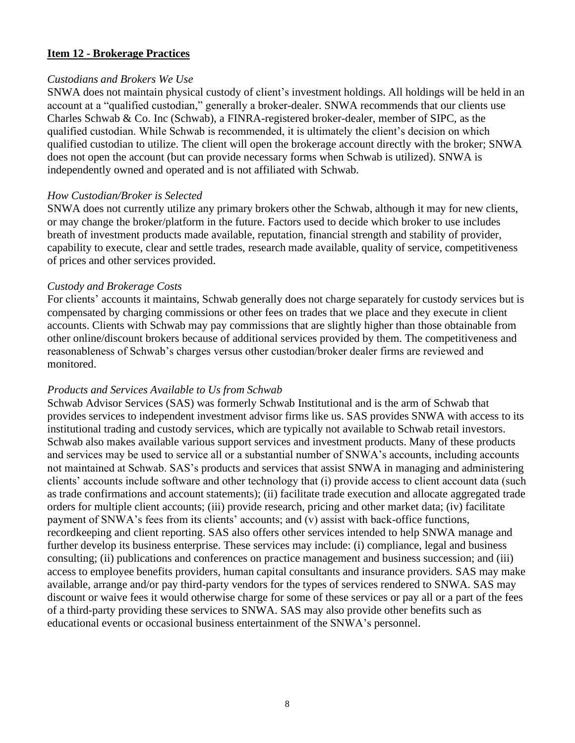#### **Item 12 - Brokerage Practices**

#### *Custodians and Brokers We Use*

SNWA does not maintain physical custody of client's investment holdings. All holdings will be held in an account at a "qualified custodian," generally a broker-dealer. SNWA recommends that our clients use Charles Schwab & Co. Inc (Schwab), a FINRA-registered broker-dealer, member of SIPC, as the qualified custodian. While Schwab is recommended, it is ultimately the client's decision on which qualified custodian to utilize. The client will open the brokerage account directly with the broker; SNWA does not open the account (but can provide necessary forms when Schwab is utilized). SNWA is independently owned and operated and is not affiliated with Schwab.

#### *How Custodian/Broker is Selected*

SNWA does not currently utilize any primary brokers other the Schwab, although it may for new clients, or may change the broker/platform in the future. Factors used to decide which broker to use includes breath of investment products made available, reputation, financial strength and stability of provider, capability to execute, clear and settle trades, research made available, quality of service, competitiveness of prices and other services provided.

#### *Custody and Brokerage Costs*

For clients' accounts it maintains, Schwab generally does not charge separately for custody services but is compensated by charging commissions or other fees on trades that we place and they execute in client accounts. Clients with Schwab may pay commissions that are slightly higher than those obtainable from other online/discount brokers because of additional services provided by them. The competitiveness and reasonableness of Schwab's charges versus other custodian/broker dealer firms are reviewed and monitored.

#### *Products and Services Available to Us from Schwab*

Schwab Advisor Services (SAS) was formerly Schwab Institutional and is the arm of Schwab that provides services to independent investment advisor firms like us. SAS provides SNWA with access to its institutional trading and custody services, which are typically not available to Schwab retail investors. Schwab also makes available various support services and investment products. Many of these products and services may be used to service all or a substantial number of SNWA's accounts, including accounts not maintained at Schwab. SAS's products and services that assist SNWA in managing and administering clients' accounts include software and other technology that (i) provide access to client account data (such as trade confirmations and account statements); (ii) facilitate trade execution and allocate aggregated trade orders for multiple client accounts; (iii) provide research, pricing and other market data; (iv) facilitate payment of SNWA's fees from its clients' accounts; and (v) assist with back-office functions, recordkeeping and client reporting. SAS also offers other services intended to help SNWA manage and further develop its business enterprise. These services may include: (i) compliance, legal and business consulting; (ii) publications and conferences on practice management and business succession; and (iii) access to employee benefits providers, human capital consultants and insurance providers. SAS may make available, arrange and/or pay third-party vendors for the types of services rendered to SNWA. SAS may discount or waive fees it would otherwise charge for some of these services or pay all or a part of the fees of a third-party providing these services to SNWA. SAS may also provide other benefits such as educational events or occasional business entertainment of the SNWA's personnel.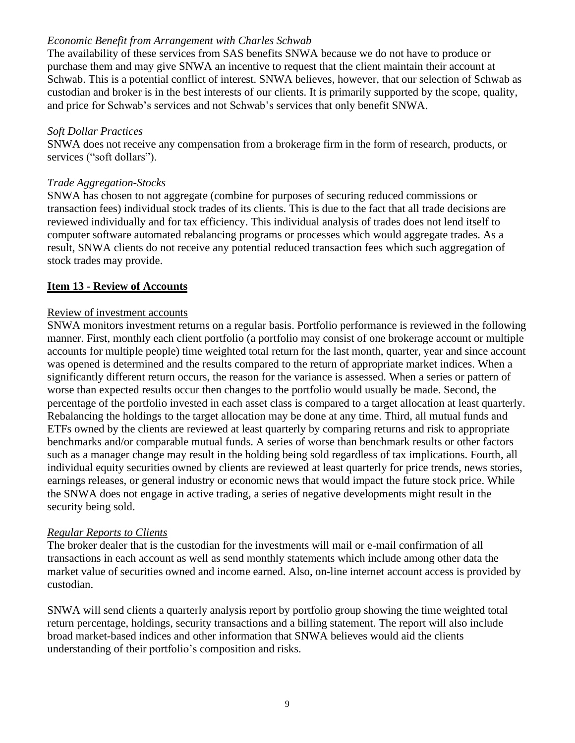## *Economic Benefit from Arrangement with Charles Schwab*

The availability of these services from SAS benefits SNWA because we do not have to produce or purchase them and may give SNWA an incentive to request that the client maintain their account at Schwab. This is a potential conflict of interest. SNWA believes, however, that our selection of Schwab as custodian and broker is in the best interests of our clients. It is primarily supported by the scope, quality, and price for Schwab's services and not Schwab's services that only benefit SNWA.

#### *Soft Dollar Practices*

SNWA does not receive any compensation from a brokerage firm in the form of research, products, or services ("soft dollars").

## *Trade Aggregation-Stocks*

SNWA has chosen to not aggregate (combine for purposes of securing reduced commissions or transaction fees) individual stock trades of its clients. This is due to the fact that all trade decisions are reviewed individually and for tax efficiency. This individual analysis of trades does not lend itself to computer software automated rebalancing programs or processes which would aggregate trades. As a result, SNWA clients do not receive any potential reduced transaction fees which such aggregation of stock trades may provide.

# **Item 13 - Review of Accounts**

## Review of investment accounts

SNWA monitors investment returns on a regular basis. Portfolio performance is reviewed in the following manner. First, monthly each client portfolio (a portfolio may consist of one brokerage account or multiple accounts for multiple people) time weighted total return for the last month, quarter, year and since account was opened is determined and the results compared to the return of appropriate market indices. When a significantly different return occurs, the reason for the variance is assessed. When a series or pattern of worse than expected results occur then changes to the portfolio would usually be made. Second, the percentage of the portfolio invested in each asset class is compared to a target allocation at least quarterly. Rebalancing the holdings to the target allocation may be done at any time. Third, all mutual funds and ETFs owned by the clients are reviewed at least quarterly by comparing returns and risk to appropriate benchmarks and/or comparable mutual funds. A series of worse than benchmark results or other factors such as a manager change may result in the holding being sold regardless of tax implications. Fourth, all individual equity securities owned by clients are reviewed at least quarterly for price trends, news stories, earnings releases, or general industry or economic news that would impact the future stock price. While the SNWA does not engage in active trading, a series of negative developments might result in the security being sold.

## *Regular Reports to Clients*

The broker dealer that is the custodian for the investments will mail or e-mail confirmation of all transactions in each account as well as send monthly statements which include among other data the market value of securities owned and income earned. Also, on-line internet account access is provided by custodian.

SNWA will send clients a quarterly analysis report by portfolio group showing the time weighted total return percentage, holdings, security transactions and a billing statement. The report will also include broad market-based indices and other information that SNWA believes would aid the clients understanding of their portfolio's composition and risks.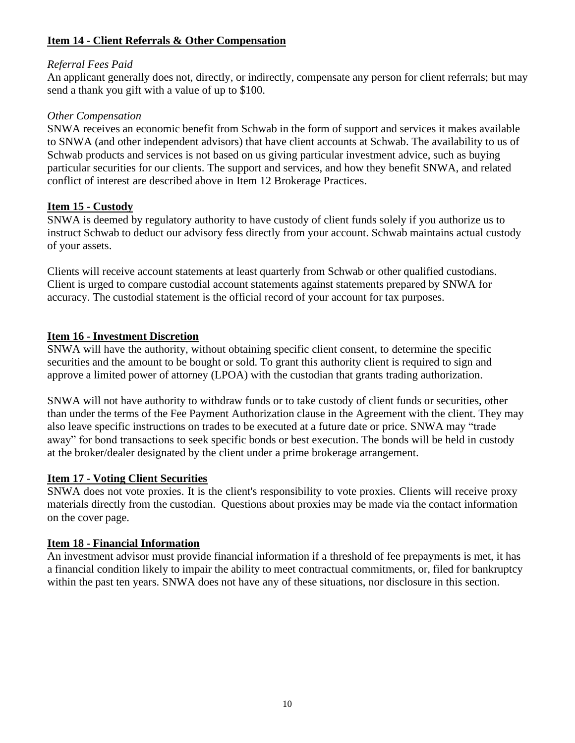# **Item 14 - Client Referrals & Other Compensation**

#### *Referral Fees Paid*

An applicant generally does not, directly, or indirectly, compensate any person for client referrals; but may send a thank you gift with a value of up to \$100.

#### *Other Compensation*

SNWA receives an economic benefit from Schwab in the form of support and services it makes available to SNWA (and other independent advisors) that have client accounts at Schwab. The availability to us of Schwab products and services is not based on us giving particular investment advice, such as buying particular securities for our clients. The support and services, and how they benefit SNWA, and related conflict of interest are described above in Item 12 Brokerage Practices.

#### **Item 15 - Custody**

SNWA is deemed by regulatory authority to have custody of client funds solely if you authorize us to instruct Schwab to deduct our advisory fess directly from your account. Schwab maintains actual custody of your assets.

Clients will receive account statements at least quarterly from Schwab or other qualified custodians. Client is urged to compare custodial account statements against statements prepared by SNWA for accuracy. The custodial statement is the official record of your account for tax purposes.

## **Item 16 - Investment Discretion**

SNWA will have the authority, without obtaining specific client consent, to determine the specific securities and the amount to be bought or sold. To grant this authority client is required to sign and approve a limited power of attorney (LPOA) with the custodian that grants trading authorization.

SNWA will not have authority to withdraw funds or to take custody of client funds or securities, other than under the terms of the Fee Payment Authorization clause in the Agreement with the client. They may also leave specific instructions on trades to be executed at a future date or price. SNWA may "trade away" for bond transactions to seek specific bonds or best execution. The bonds will be held in custody at the broker/dealer designated by the client under a prime brokerage arrangement.

## **Item 17 - Voting Client Securities**

SNWA does not vote proxies. It is the client's responsibility to vote proxies. Clients will receive proxy materials directly from the custodian. Questions about proxies may be made via the contact information on the cover page.

## **Item 18 - Financial Information**

An investment advisor must provide financial information if a threshold of fee prepayments is met, it has a financial condition likely to impair the ability to meet contractual commitments, or, filed for bankruptcy within the past ten years. SNWA does not have any of these situations, nor disclosure in this section.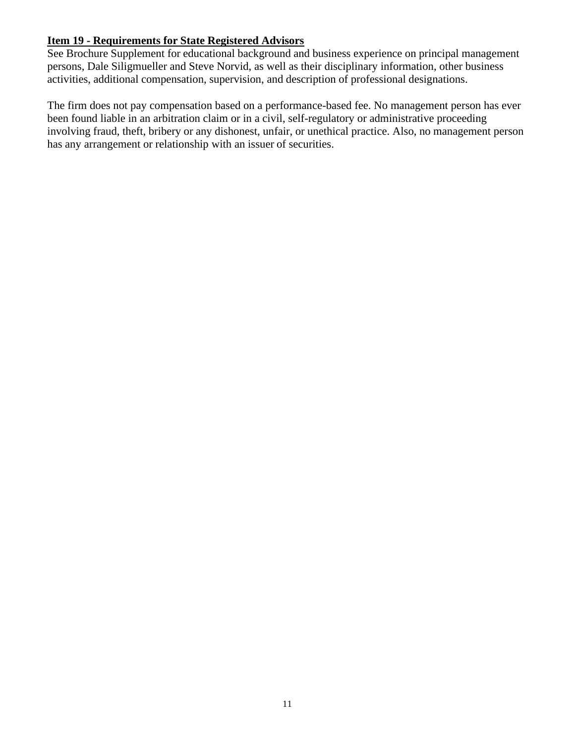# **Item 19 - Requirements for State Registered Advisors**

See Brochure Supplement for educational background and business experience on principal management persons, Dale Siligmueller and Steve Norvid, as well as their disciplinary information, other business activities, additional compensation, supervision, and description of professional designations.

The firm does not pay compensation based on a performance-based fee. No management person has ever been found liable in an arbitration claim or in a civil, self-regulatory or administrative proceeding involving fraud, theft, bribery or any dishonest, unfair, or unethical practice. Also, no management person has any arrangement or relationship with an issuer of securities.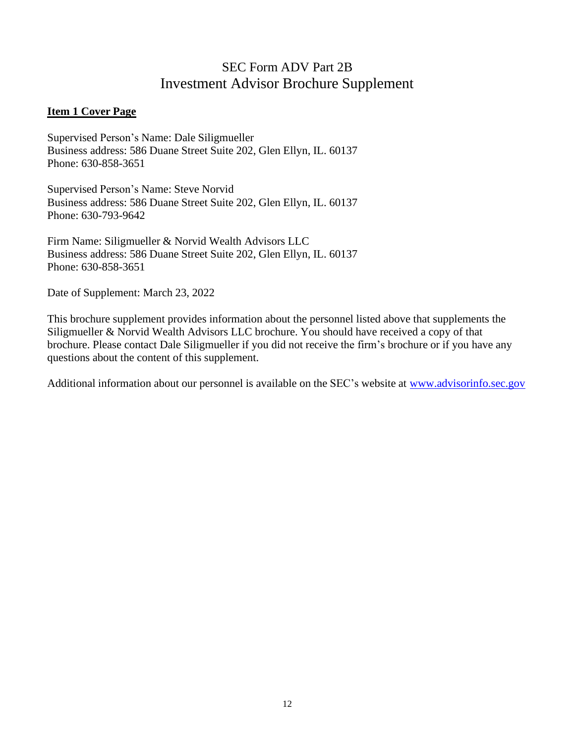# SEC Form ADV Part 2B Investment Advisor Brochure Supplement

#### **Item 1 Cover Page**

Supervised Person's Name: Dale Siligmueller Business address: 586 Duane Street Suite 202, Glen Ellyn, IL. 60137 Phone: 630-858-3651

Supervised Person's Name: Steve Norvid Business address: 586 Duane Street Suite 202, Glen Ellyn, IL. 60137 Phone: 630-793-9642

Firm Name: Siligmueller & Norvid Wealth Advisors LLC Business address: 586 Duane Street Suite 202, Glen Ellyn, IL. 60137 Phone: 630-858-3651

Date of Supplement: March 23, 2022

This brochure supplement provides information about the personnel listed above that supplements the Siligmueller & Norvid Wealth Advisors LLC brochure. You should have received a copy of that brochure. Please contact Dale Siligmueller if you did not receive the firm's brochure or if you have any questions about the content of this supplement.

Additional information about our personnel is available on the SEC's website at [www.advisorinfo.sec.gov](http://www.advisorinfo.sec.gov/)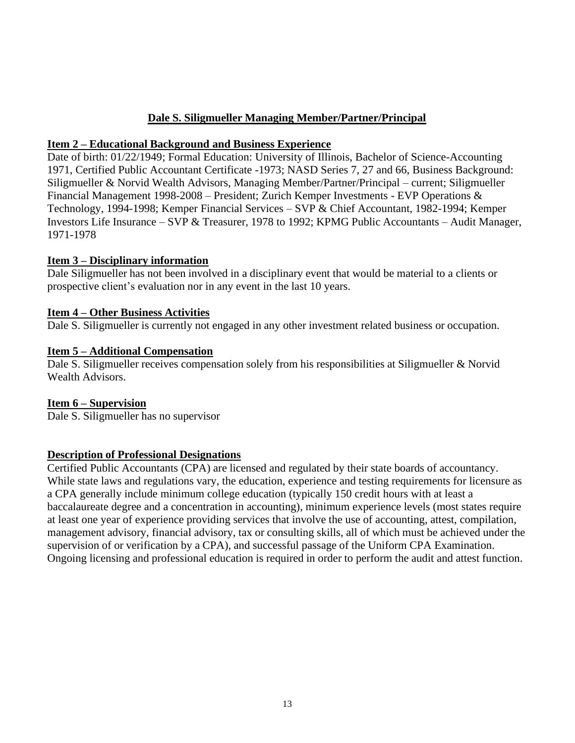# **Dale S. Siligmueller Managing Member/Partner/Principal**

#### **Item 2 – Educational Background and Business Experience**

Date of birth: 01/22/1949; Formal Education: University of Illinois, Bachelor of Science-Accounting 1971, Certified Public Accountant Certificate -1973; NASD Series 7, 27 and 66, Business Background: Siligmueller & Norvid Wealth Advisors, Managing Member/Partner/Principal – current; Siligmueller Financial Management 1998-2008 – President; Zurich Kemper Investments - EVP Operations & Technology, 1994-1998; Kemper Financial Services – SVP & Chief Accountant, 1982-1994; Kemper Investors Life Insurance – SVP & Treasurer, 1978 to 1992; KPMG Public Accountants – Audit Manager, 1971-1978

## **Item 3 – Disciplinary information**

Dale Siligmueller has not been involved in a disciplinary event that would be material to a clients or prospective client's evaluation nor in any event in the last 10 years.

#### **Item 4 – Other Business Activities**

Dale S. Siligmueller is currently not engaged in any other investment related business or occupation.

#### **Item 5 – Additional Compensation**

Dale S. Siligmueller receives compensation solely from his responsibilities at Siligmueller & Norvid Wealth Advisors.

## **Item 6 – Supervision**

Dale S. Siligmueller has no supervisor

#### **Description of Professional Designations**

Certified Public Accountants (CPA) are licensed and regulated by their state boards of accountancy. While state laws and regulations vary, the education, experience and testing requirements for licensure as a CPA generally include minimum college education (typically 150 credit hours with at least a baccalaureate degree and a concentration in accounting), minimum experience levels (most states require at least one year of experience providing services that involve the use of accounting, attest, compilation, management advisory, financial advisory, tax or consulting skills, all of which must be achieved under the supervision of or verification by a CPA), and successful passage of the Uniform CPA Examination. Ongoing licensing and professional education is required in order to perform the audit and attest function.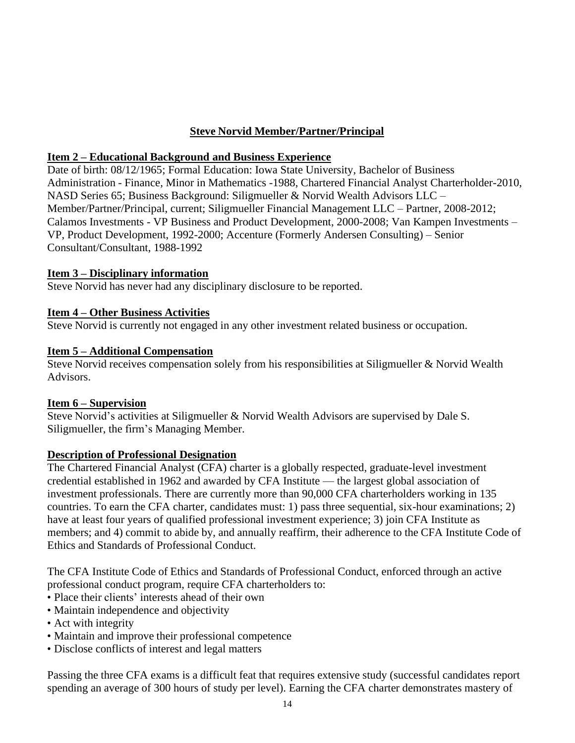# **Steve Norvid Member/Partner/Principal**

# **Item 2 – Educational Background and Business Experience**

Date of birth: 08/12/1965; Formal Education: Iowa State University, Bachelor of Business Administration - Finance, Minor in Mathematics -1988, Chartered Financial Analyst Charterholder-2010, NASD Series 65; Business Background: Siligmueller & Norvid Wealth Advisors LLC – Member/Partner/Principal, current; Siligmueller Financial Management LLC – Partner, 2008-2012; Calamos Investments - VP Business and Product Development, 2000-2008; Van Kampen Investments – VP, Product Development, 1992-2000; Accenture (Formerly Andersen Consulting) – Senior Consultant/Consultant, 1988-1992

# **Item 3 – Disciplinary information**

Steve Norvid has never had any disciplinary disclosure to be reported.

## **Item 4 – Other Business Activities**

Steve Norvid is currently not engaged in any other investment related business or occupation.

# **Item 5 – Additional Compensation**

Steve Norvid receives compensation solely from his responsibilities at Siligmueller & Norvid Wealth Advisors.

## **Item 6 – Supervision**

Steve Norvid's activities at Siligmueller & Norvid Wealth Advisors are supervised by Dale S. Siligmueller, the firm's Managing Member.

## **Description of Professional Designation**

The Chartered Financial Analyst (CFA) charter is a globally respected, graduate-level investment credential established in 1962 and awarded by CFA Institute — the largest global association of investment professionals. There are currently more than 90,000 CFA charterholders working in 135 countries. To earn the CFA charter, candidates must: 1) pass three sequential, six-hour examinations; 2) have at least four years of qualified professional investment experience; 3) join CFA Institute as members; and 4) commit to abide by, and annually reaffirm, their adherence to the CFA Institute Code of Ethics and Standards of Professional Conduct.

The CFA Institute Code of Ethics and Standards of Professional Conduct, enforced through an active professional conduct program, require CFA charterholders to:

- Place their clients' interests ahead of their own
- Maintain independence and objectivity
- Act with integrity
- Maintain and improve their professional competence
- Disclose conflicts of interest and legal matters

Passing the three CFA exams is a difficult feat that requires extensive study (successful candidates report spending an average of 300 hours of study per level). Earning the CFA charter demonstrates mastery of